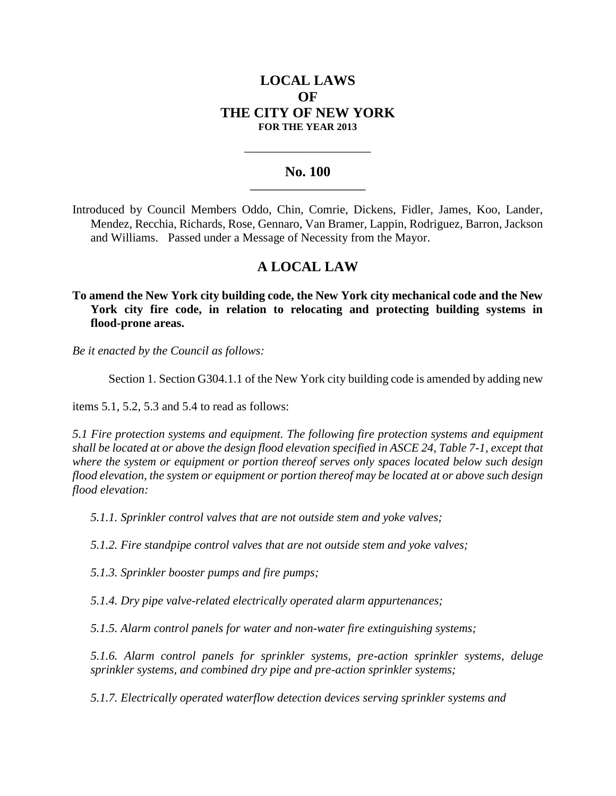# **LOCAL LAWS OF THE CITY OF NEW YORK FOR THE YEAR 2013**

### **No. 100 \_\_\_\_\_\_\_\_\_\_\_\_\_\_\_\_\_\_\_\_\_\_\_**

**\_\_\_\_\_\_\_\_\_\_\_\_\_\_\_\_\_\_\_\_\_\_\_\_\_\_\_\_**

Introduced by Council Members Oddo, Chin, Comrie, Dickens, Fidler, James, Koo, Lander, Mendez, Recchia, Richards, Rose, Gennaro, Van Bramer, Lappin, Rodriguez, Barron, Jackson and Williams. Passed under a Message of Necessity from the Mayor.

# **A LOCAL LAW**

**To amend the New York city building code, the New York city mechanical code and the New York city fire code, in relation to relocating and protecting building systems in flood-prone areas.**

*Be it enacted by the Council as follows:*

Section 1. Section G304.1.1 of the New York city building code is amended by adding new

items 5.1, 5.2, 5.3 and 5.4 to read as follows:

*5.1 Fire protection systems and equipment. The following fire protection systems and equipment shall be located at or above the design flood elevation specified in ASCE 24, Table 7-1, except that where the system or equipment or portion thereof serves only spaces located below such design flood elevation, the system or equipment or portion thereof may be located at or above such design flood elevation:*

*5.1.1. Sprinkler control valves that are not outside stem and yoke valves;*

*5.1.2. Fire standpipe control valves that are not outside stem and yoke valves;*

*5.1.3. Sprinkler booster pumps and fire pumps;*

*5.1.4. Dry pipe valve-related electrically operated alarm appurtenances;*

*5.1.5. Alarm control panels for water and non-water fire extinguishing systems;*

*5.1.6. Alarm control panels for sprinkler systems, pre-action sprinkler systems, deluge sprinkler systems, and combined dry pipe and pre-action sprinkler systems;*

*5.1.7. Electrically operated waterflow detection devices serving sprinkler systems and*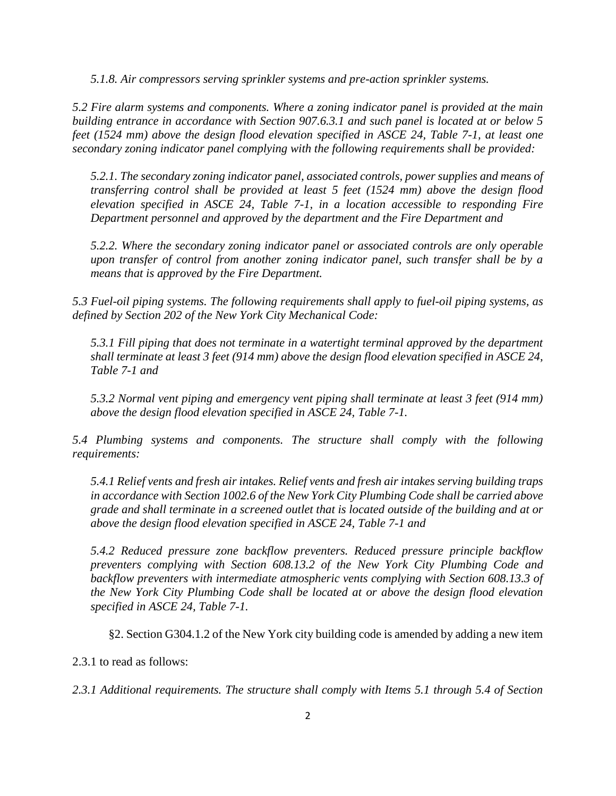*5.1.8. Air compressors serving sprinkler systems and pre-action sprinkler systems.*

*5.2 Fire alarm systems and components. Where a zoning indicator panel is provided at the main building entrance in accordance with Section 907.6.3.1 and such panel is located at or below 5 feet (1524 mm) above the design flood elevation specified in ASCE 24, Table 7-1, at least one secondary zoning indicator panel complying with the following requirements shall be provided:*

*5.2.1. The secondary zoning indicator panel, associated controls, power supplies and means of transferring control shall be provided at least 5 feet (1524 mm) above the design flood elevation specified in ASCE 24, Table 7-1, in a location accessible to responding Fire Department personnel and approved by the department and the Fire Department and*

*5.2.2. Where the secondary zoning indicator panel or associated controls are only operable upon transfer of control from another zoning indicator panel, such transfer shall be by a means that is approved by the Fire Department.*

*5.3 Fuel-oil piping systems. The following requirements shall apply to fuel-oil piping systems, as defined by Section 202 of the New York City Mechanical Code:* 

*5.3.1 Fill piping that does not terminate in a watertight terminal approved by the department shall terminate at least 3 feet (914 mm) above the design flood elevation specified in ASCE 24, Table 7-1 and*

*5.3.2 Normal vent piping and emergency vent piping shall terminate at least 3 feet (914 mm) above the design flood elevation specified in ASCE 24, Table 7-1.*

*5.4 Plumbing systems and components. The structure shall comply with the following requirements:*

*5.4.1 Relief vents and fresh air intakes. Relief vents and fresh air intakes serving building traps in accordance with Section 1002.6 of the New York City Plumbing Code shall be carried above grade and shall terminate in a screened outlet that is located outside of the building and at or above the design flood elevation specified in ASCE 24, Table 7-1 and*

*5.4.2 Reduced pressure zone backflow preventers. Reduced pressure principle backflow preventers complying with Section 608.13.2 of the New York City Plumbing Code and backflow preventers with intermediate atmospheric vents complying with Section 608.13.3 of the New York City Plumbing Code shall be located at or above the design flood elevation specified in ASCE 24, Table 7-1.*

§2. Section G304.1.2 of the New York city building code is amended by adding a new item

2.3.1 to read as follows:

*2.3.1 Additional requirements. The structure shall comply with Items 5.1 through 5.4 of Section*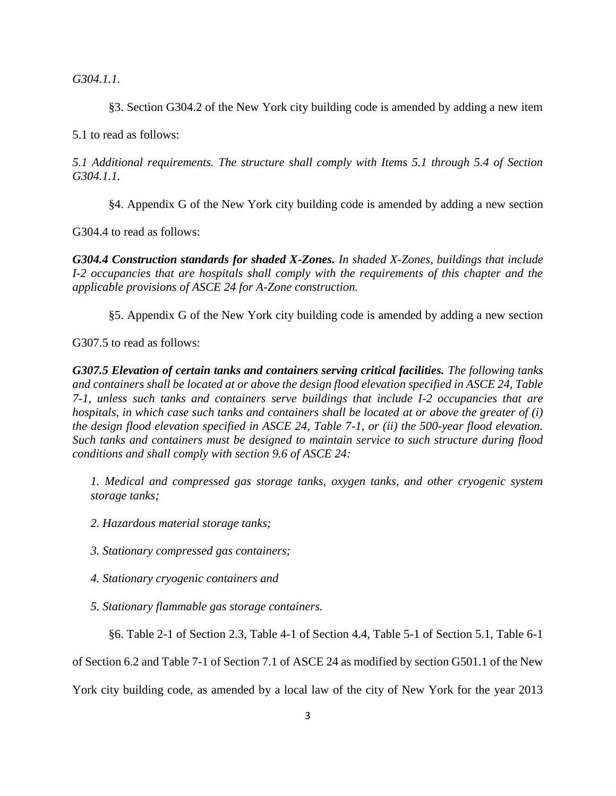*G304.1.1.*

§3. Section G304.2 of the New York city building code is amended by adding a new item

5.1 to read as follows:

*5.1 Additional requirements. The structure shall comply with Items 5.1 through 5.4 of Section G304.1.1.*

§4. Appendix G of the New York city building code is amended by adding a new section

G304.4 to read as follows:

*G304.4 Construction standards for shaded X-Zones. In shaded X-Zones, buildings that include I-2 occupancies that are hospitals shall comply with the requirements of this chapter and the applicable provisions of ASCE 24 for A-Zone construction.*

§5. Appendix G of the New York city building code is amended by adding a new section

G307.5 to read as follows:

*G307.5 Elevation of certain tanks and containers serving critical facilities. The following tanks and containers shall be located at or above the design flood elevation specified in ASCE 24, Table 7-1, unless such tanks and containers serve buildings that include I-2 occupancies that are hospitals, in which case such tanks and containers shall be located at or above the greater of (i) the design flood elevation specified in ASCE 24, Table 7-1, or (ii) the 500-year flood elevation. Such tanks and containers must be designed to maintain service to such structure during flood conditions and shall comply with section 9.6 of ASCE 24:*

*1. Medical and compressed gas storage tanks, oxygen tanks, and other cryogenic system storage tanks;*

- *2. Hazardous material storage tanks;*
- *3. Stationary compressed gas containers;*
- *4. Stationary cryogenic containers and*
- *5. Stationary flammable gas storage containers.*
	- §6. Table 2-1 of Section 2.3, Table 4-1 of Section 4.4, Table 5-1 of Section 5.1, Table 6-1

of Section 6.2 and Table 7-1 of Section 7.1 of ASCE 24 as modified by section G501.1 of the New

York city building code, as amended by a local law of the city of New York for the year 2013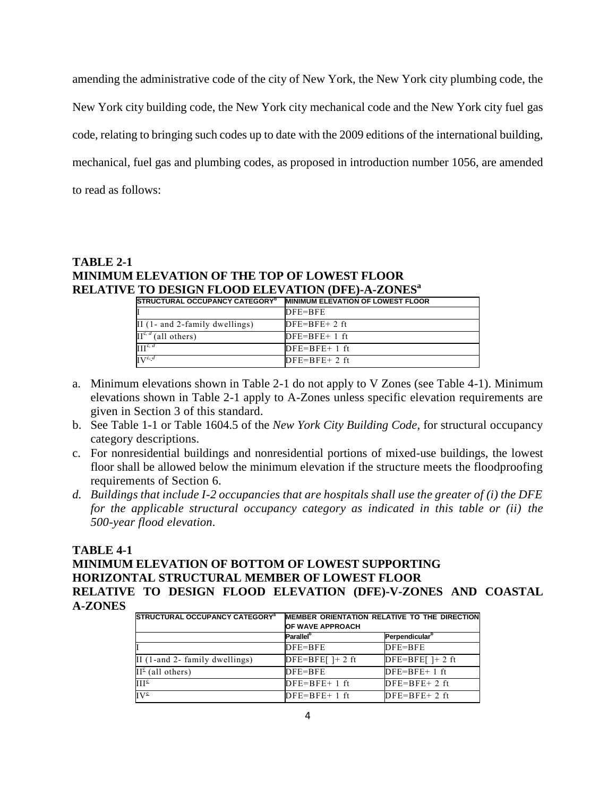amending the administrative code of the city of New York, the New York city plumbing code, the New York city building code, the New York city mechanical code and the New York city fuel gas code, relating to bringing such codes up to date with the 2009 editions of the international building, mechanical, fuel gas and plumbing codes, as proposed in introduction number 1056, are amended to read as follows:

## **TABLE 2-1 MINIMUM ELEVATION OF THE TOP OF LOWEST FLOOR RELATIVE TO DESIGN FLOOD ELEVATION (DFE)-A-ZONES<sup>a</sup>**

| STRUCTURAL OCCUPANCY CATEGORY <sup>D</sup>                            | <b>MINIMUM ELEVATION OF LOWEST FLOOR</b> |  |  |
|-----------------------------------------------------------------------|------------------------------------------|--|--|
|                                                                       | $DFE = BFE$                              |  |  |
| II $(1-$ and 2-family dwellings)                                      | $DFE = BFE + 2 ft$                       |  |  |
| $\overline{\mathrm{H}^{\mathrm{c}, d}(\mathrm{all} \mathrm{others})}$ | $DFE = BFE + 1 ft$                       |  |  |
| $\Pi$ <sup>c, d</sup>                                                 | $DFE = BFE + 1 ft$                       |  |  |
| $IV^{c,d}$                                                            | $DFE = BFE + 2 ft$                       |  |  |

- a. Minimum elevations shown in Table 2-1 do not apply to V Zones (see Table 4-1). Minimum elevations shown in Table 2-1 apply to A-Zones unless specific elevation requirements are given in Section 3 of this standard.
- b. See Table 1-1 or Table 1604.5 of the *New York City Building Code*, for structural occupancy category descriptions.
- c. For nonresidential buildings and nonresidential portions of mixed-use buildings, the lowest floor shall be allowed below the minimum elevation if the structure meets the floodproofing requirements of Section 6.
- *d. Buildings that include I-2 occupancies that are hospitals shall use the greater of (i) the DFE for the applicable structural occupancy category as indicated in this table or (ii) the 500-year flood elevation.*

## **TABLE 4-1**

## **MINIMUM ELEVATION OF BOTTOM OF LOWEST SUPPORTING HORIZONTAL STRUCTURAL MEMBER OF LOWEST FLOOR RELATIVE TO DESIGN FLOOD ELEVATION (DFE)-V-ZONES AND COASTAL A-ZONES**

| STRUCTURAL OCCUPANCY CATEGORY <sup>a</sup> | MEMBER ORIENTATION RELATIVE TO THE DIRECTION<br><b>OF WAVE APPROACH</b> |                            |  |
|--------------------------------------------|-------------------------------------------------------------------------|----------------------------|--|
|                                            | <b>Parallel</b> <sup>b</sup>                                            | Perpendicular <sup>b</sup> |  |
|                                            | $DFE = BFE$                                                             | $DFE = BFE$                |  |
| II (1-and 2- family dwellings)             | $DFE=BFE[$ $]+ 2$ ft                                                    | $DFE=BFE[$  + 2 ft         |  |
| $II^{\epsilon}$ (all others)               | $DFE = BFE$                                                             | $DFE = BFE + 1 ft$         |  |
| III <sup>c</sup>                           | $DFE = BFE + 1 ft$                                                      | $DFE = BFE + 2 ft$         |  |
| $IV^{\mathsf{c}}$                          | $DFE = BFE + 1 ft$                                                      | $DFE = BFE + 2 ft$         |  |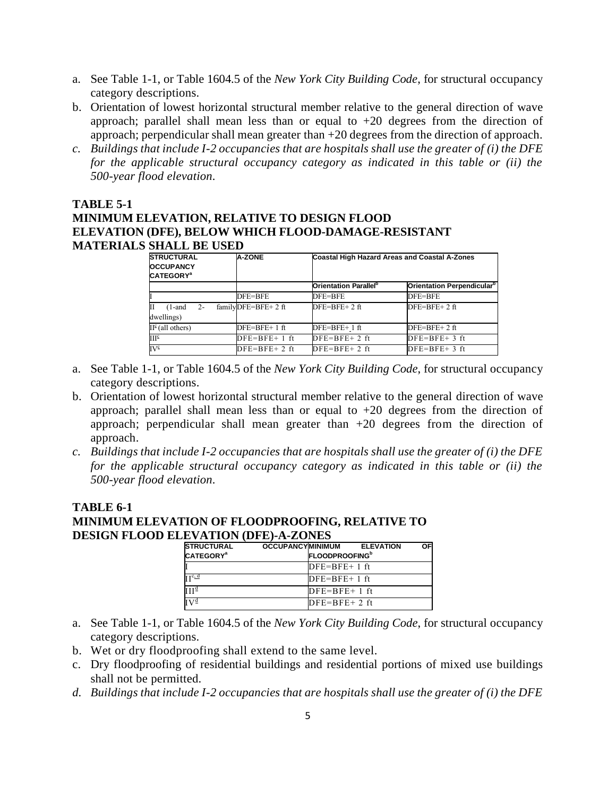- a. See Table 1-1, or Table 1604.5 of the *New York City Building Code*, for structural occupancy category descriptions.
- b. Orientation of lowest horizontal structural member relative to the general direction of wave approach; parallel shall mean less than or equal to  $+20$  degrees from the direction of approach; perpendicular shall mean greater than +20 degrees from the direction of approach.
- *c. Buildings that include I-2 occupancies that are hospitals shall use the greater of (i) the DFE for the applicable structural occupancy category as indicated in this table or (ii) the 500-year flood elevation.*

### **TABLE 5-1 MINIMUM ELEVATION, RELATIVE TO DESIGN FLOOD ELEVATION (DFE), BELOW WHICH FLOOD-DAMAGE-RESISTANT MATERIALS SHALL BE USED**

| <b>A-ZONE</b><br><b>STRUCTURAL</b><br><b>OCCUPANCY</b><br><b>CATEGORY</b> <sup>ª</sup> |                       | Coastal High Hazard Areas and Coastal A-Zones |                                        |  |
|----------------------------------------------------------------------------------------|-----------------------|-----------------------------------------------|----------------------------------------|--|
|                                                                                        |                       | Orientation Parallel <sup>o</sup>             | Orientation Perpendicular <sup>b</sup> |  |
|                                                                                        | DFE=BFE               | DFE=BFE                                       | DFE=BFE                                |  |
| $2 -$<br>$(1-$ and<br>11 I<br>dwellings)                                               | familyDFE=BFE+ $2$ ft | $DFE = BFE + 2 ft$                            | $DFE=BFE+2$ ft                         |  |
| $II^{\mathcal{C}}$ (all others)                                                        | $DFE=BFE+1$ ft        | $DFE = BFE + 1 ft$                            | $DFE=BFE+2$ ft.                        |  |
| HI⊾                                                                                    | $DFE = BFE + 1 ft$    | $DFE = BFE + 2 ft$                            | $DFE = BFE + 3 ft$                     |  |
| IV <sup>c</sup>                                                                        | $DFE = BFE + 2 ft$    | $DFE = BFE + 2 ft$                            | $DFE = BFE + 3 ft$                     |  |

- a. See Table 1-1, or Table 1604.5 of the *New York City Building Code*, for structural occupancy category descriptions.
- b. Orientation of lowest horizontal structural member relative to the general direction of wave approach; parallel shall mean less than or equal to  $+20$  degrees from the direction of approach; perpendicular shall mean greater than  $+20$  degrees from the direction of approach.
- *c. Buildings that include I-2 occupancies that are hospitals shall use the greater of (i) the DFE for the applicable structural occupancy category as indicated in this table or (ii) the 500-year flood elevation.*

#### **TABLE 6-1 MINIMUM ELEVATION OF FLOODPROOFING, RELATIVE TO DESIGN FLOOD ELEVATION (DFE)-A-ZONES**

| 8,111101,12119,11201120 |  |                                   |  |     |
|-------------------------|--|-----------------------------------|--|-----|
| <b>STRUCTURAL</b>       |  | OCCUPANCYMINIMUM ELEVATION        |  | ΟFΙ |
| <b>CATEGORYª</b>        |  | <b>FLOODPROOFING</b> <sup>b</sup> |  |     |
|                         |  | $DFE = BFE + 1 ft$                |  |     |
| $H^{c,d}$               |  | $DFE = BFE + 1 ft$                |  |     |
| HI₫                     |  | $DFE = BFE + 1 ft$                |  |     |
| IVª                     |  | $DFE = BFE + 2 ft$                |  |     |
|                         |  |                                   |  |     |

- a. See Table 1-1, or Table 1604.5 of the *New York City Building Code*, for structural occupancy category descriptions.
- b. Wet or dry floodproofing shall extend to the same level.
- c. Dry floodproofing of residential buildings and residential portions of mixed use buildings shall not be permitted.
- *d. Buildings that include I-2 occupancies that are hospitals shall use the greater of (i) the DFE*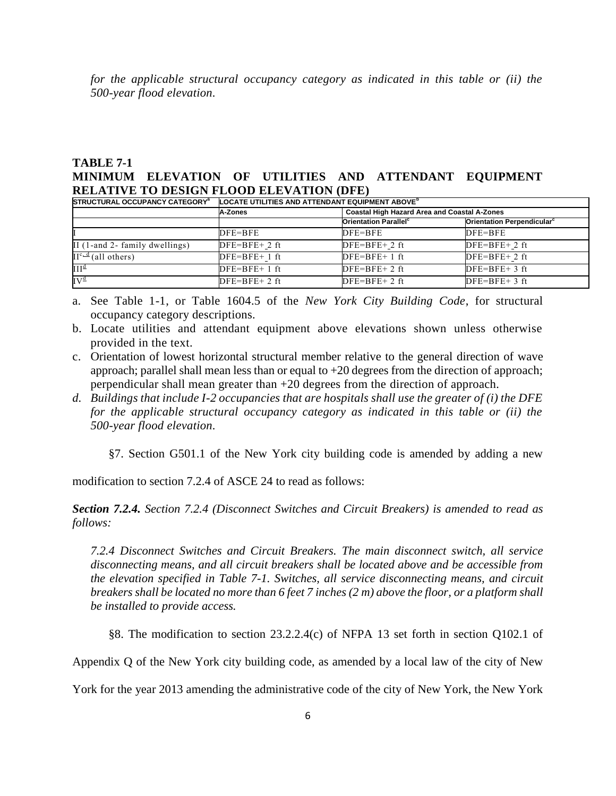*for the applicable structural occupancy category as indicated in this table or (ii) the 500-year flood elevation.*

#### **TABLE 7-1**

## **MINIMUM ELEVATION OF UTILITIES AND ATTENDANT EQUIPMENT RELATIVE TO DESIGN FLOOD ELEVATION (DFE)**

| STRUCTURAL OCCUPANCY CATEGORY <sup>a</sup>           | LOCATE UTILITIES AND ATTENDANT EQUIPMENT ABOVE <sup>b</sup> |                                                     |                                        |
|------------------------------------------------------|-------------------------------------------------------------|-----------------------------------------------------|----------------------------------------|
|                                                      | A-Zones                                                     | <b>Coastal High Hazard Area and Coastal A-Zones</b> |                                        |
|                                                      |                                                             | <b>Orientation Parallel</b> <sup>c</sup>            | Orientation Perpendicular <sup>c</sup> |
|                                                      | $DFE = BFE$                                                 | $DFE=BFE$                                           | $DFE=BFE$                              |
| II $(1$ -and 2- family dwellings)                    | $DFE=BFE+2$ ft                                              | $DFE=BFE+2$ ft                                      | $DFE = BFE + 2 ft$                     |
| $\overline{\mathrm{II}}^{\mathrm{c,d}}$ (all others) | $DFE = BFE + 1 ft$                                          | $DFE = BFE + 1 ft$                                  | $DFE = BFE + 2 ft$                     |
| $III^{\underline{d}}$                                | $DFE = BFE + 1 ft$                                          | $DFE=BFE+2$ ft                                      | $DFE=BFE+3$ ft                         |
| $IV^{\underline{d}}$                                 | $DFE = BFE + 2 ft$                                          | $DFE=BFE+2$ ft                                      | $DFE=BFE+3$ ft                         |

a. See Table 1-1, or Table 1604.5 of the *New York City Building Code*, for structural occupancy category descriptions.

- b. Locate utilities and attendant equipment above elevations shown unless otherwise provided in the text.
- c. Orientation of lowest horizontal structural member relative to the general direction of wave approach; parallel shall mean less than or equal to +20 degrees from the direction of approach; perpendicular shall mean greater than +20 degrees from the direction of approach*.*
- *d. Buildings that include I-2 occupancies that are hospitals shall use the greater of (i) the DFE for the applicable structural occupancy category as indicated in this table or (ii) the 500-year flood elevation.*

§7. Section G501.1 of the New York city building code is amended by adding a new

modification to section 7.2.4 of ASCE 24 to read as follows:

*Section 7.2.4. Section 7.2.4 (Disconnect Switches and Circuit Breakers) is amended to read as follows:*

*7.2.4 Disconnect Switches and Circuit Breakers. The main disconnect switch, all service disconnecting means, and all circuit breakers shall be located above and be accessible from the elevation specified in Table 7-1. Switches, all service disconnecting means, and circuit breakers shall be located no more than 6 feet 7 inches (2 m) above the floor, or a platform shall be installed to provide access.*

§8. The modification to section 23.2.2.4(c) of NFPA 13 set forth in section Q102.1 of

Appendix Q of the New York city building code, as amended by a local law of the city of New

York for the year 2013 amending the administrative code of the city of New York, the New York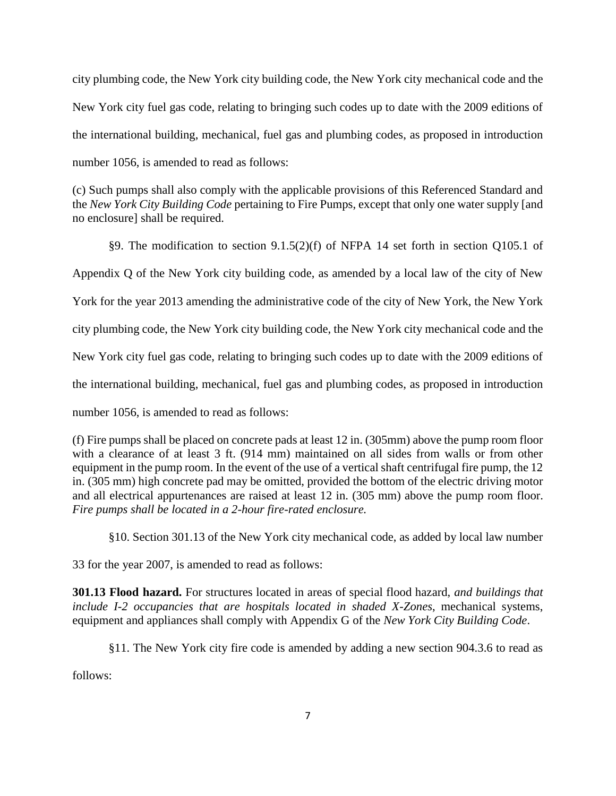city plumbing code, the New York city building code, the New York city mechanical code and the New York city fuel gas code, relating to bringing such codes up to date with the 2009 editions of the international building, mechanical, fuel gas and plumbing codes, as proposed in introduction number 1056, is amended to read as follows:

(c) Such pumps shall also comply with the applicable provisions of this Referenced Standard and the *New York City Building Code* pertaining to Fire Pumps, except that only one water supply [and no enclosure] shall be required.

§9. The modification to section 9.1.5(2)(f) of NFPA 14 set forth in section Q105.1 of Appendix Q of the New York city building code, as amended by a local law of the city of New York for the year 2013 amending the administrative code of the city of New York, the New York city plumbing code, the New York city building code, the New York city mechanical code and the New York city fuel gas code, relating to bringing such codes up to date with the 2009 editions of the international building, mechanical, fuel gas and plumbing codes, as proposed in introduction number 1056, is amended to read as follows:

(f) Fire pumps shall be placed on concrete pads at least 12 in. (305mm) above the pump room floor with a clearance of at least 3 ft. (914 mm) maintained on all sides from walls or from other equipment in the pump room. In the event of the use of a vertical shaft centrifugal fire pump, the 12 in. (305 mm) high concrete pad may be omitted, provided the bottom of the electric driving motor and all electrical appurtenances are raised at least 12 in. (305 mm) above the pump room floor. *Fire pumps shall be located in a 2-hour fire-rated enclosure.* 

§10. Section 301.13 of the New York city mechanical code, as added by local law number

33 for the year 2007, is amended to read as follows:

**301.13 Flood hazard.** For structures located in areas of special flood hazard, *and buildings that include I-2 occupancies that are hospitals located in shaded X-Zones*, mechanical systems, equipment and appliances shall comply with Appendix G of the *New York City Building Code*.

§11. The New York city fire code is amended by adding a new section 904.3.6 to read as

follows: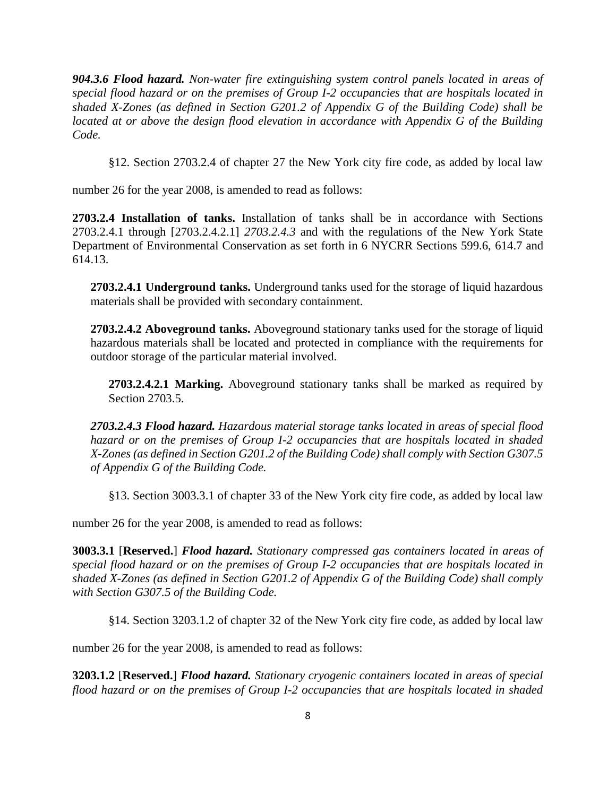*904.3.6 Flood hazard. Non-water fire extinguishing system control panels located in areas of special flood hazard or on the premises of Group I-2 occupancies that are hospitals located in shaded X-Zones (as defined in Section G201.2 of Appendix G of the Building Code) shall be located at or above the design flood elevation in accordance with Appendix G of the Building Code.*

§12. Section 2703.2.4 of chapter 27 the New York city fire code, as added by local law

number 26 for the year 2008, is amended to read as follows:

**2703.2.4 Installation of tanks.** Installation of tanks shall be in accordance with Sections 2703.2.4.1 through [2703.2.4.2.1] *2703.2.4.3* and with the regulations of the New York State Department of Environmental Conservation as set forth in 6 NYCRR Sections 599.6, 614.7 and 614.13.

**2703.2.4.1 Underground tanks.** Underground tanks used for the storage of liquid hazardous materials shall be provided with secondary containment.

**2703.2.4.2 Aboveground tanks.** Aboveground stationary tanks used for the storage of liquid hazardous materials shall be located and protected in compliance with the requirements for outdoor storage of the particular material involved.

**2703.2.4.2.1 Marking.** Aboveground stationary tanks shall be marked as required by Section 2703.5.

*2703.2.4.3 Flood hazard. Hazardous material storage tanks located in areas of special flood hazard or on the premises of Group I-2 occupancies that are hospitals located in shaded X-Zones (as defined in Section G201.2 of the Building Code) shall comply with Section G307.5 of Appendix G of the Building Code.*

§13. Section 3003.3.1 of chapter 33 of the New York city fire code, as added by local law

number 26 for the year 2008, is amended to read as follows:

**3003.3.1** [**Reserved.**] *Flood hazard. Stationary compressed gas containers located in areas of special flood hazard or on the premises of Group I-2 occupancies that are hospitals located in shaded X-Zones (as defined in Section G201.2 of Appendix G of the Building Code) shall comply with Section G307.5 of the Building Code.*

§14. Section 3203.1.2 of chapter 32 of the New York city fire code, as added by local law

number 26 for the year 2008, is amended to read as follows:

**3203.1.2** [**Reserved.**] *Flood hazard. Stationary cryogenic containers located in areas of special flood hazard or on the premises of Group I-2 occupancies that are hospitals located in shaded*